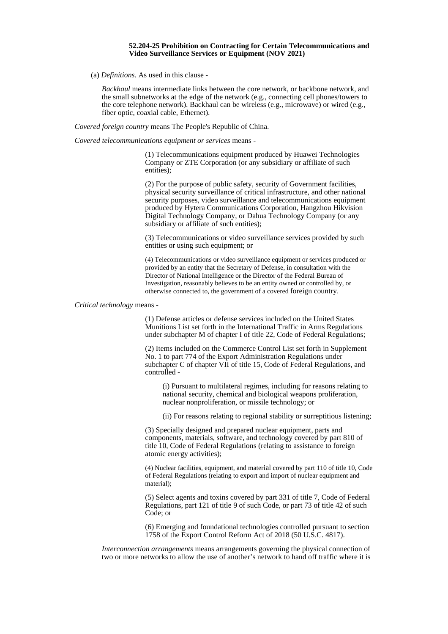## **52.204-25 Prohibition on Contracting for Certain Telecommunications and Video Surveillance Services or Equipment (NOV 2021)**

(a) *Definitions.* As used in this clause -

*Backhaul* means intermediate links between the core network, or backbone network, and the small subnetworks at the edge of the network (e.g., connecting cell phones/towers to the core telephone network). Backhaul can be wireless (e.g., microwave) or wired (e.g., fiber optic, coaxial cable, Ethernet).

*Covered foreign country* means The People's Republic of China.

*Covered telecommunications equipment or services* means -

(1) Telecommunications equipment produced by Huawei Technologies Company or ZTE Corporation (or any subsidiary or affiliate of such entities);

(2) For the purpose of public safety, security of Government facilities, physical security surveillance of critical infrastructure, and other national security purposes, video surveillance and telecommunications equipment produced by Hytera Communications Corporation, Hangzhou Hikvision Digital Technology Company, or Dahua Technology Company (or any subsidiary or affiliate of such entities);

(3) Telecommunications or video surveillance services provided by such entities or using such equipment; or

(4) Telecommunications or video surveillance equipment or services produced or provided by an entity that the Secretary of Defense, in consultation with the Director of National Intelligence or the Director of the Federal Bureau of Investigation, reasonably believes to be an entity owned or controlled by, or otherwise connected to, the government of a covered foreign country.

*Critical technology* means -

(1) Defense articles or defense services included on the United States Munitions List set forth in the International Traffic in Arms Regulations under subchapter M of chapter I of title 22, Code of Federal Regulations;

(2) Items included on the Commerce Control List set forth in Supplement No. 1 to part 774 of the Export Administration Regulations under subchapter C of chapter VII of title 15, Code of Federal Regulations, and controlled -

(i) Pursuant to multilateral regimes, including for reasons relating to national security, chemical and biological weapons proliferation, nuclear nonproliferation, or missile technology; or

(ii) For reasons relating to regional stability or surreptitious listening;

(3) Specially designed and prepared nuclear equipment, parts and components, materials, software, and technology covered by part 810 of title 10, Code of Federal Regulations (relating to assistance to foreign atomic energy activities);

(4) Nuclear facilities, equipment, and material covered by part 110 of title 10, Code of Federal Regulations (relating to export and import of nuclear equipment and material);

(5) Select agents and toxins covered by part 331 of title 7, Code of Federal Regulations, part 121 of title 9 of such Code, or part 73 of title 42 of such Code; or

(6) Emerging and foundational technologies controlled pursuant to section 1758 of the Export Control Reform Act of 2018 (50 U.S.C. 4817).

*Interconnection arrangements* means arrangements governing the physical connection of two or more networks to allow the use of another's network to hand off traffic where it is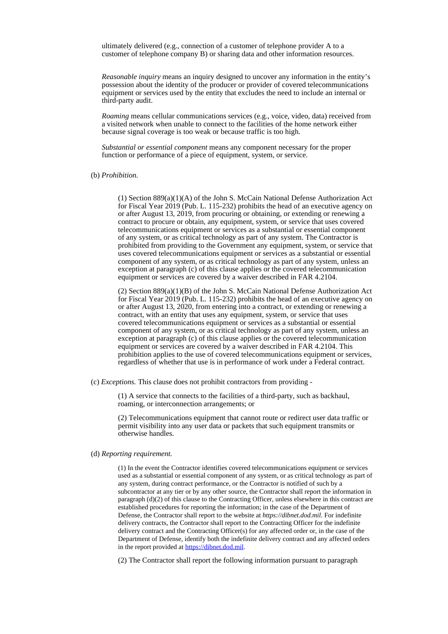ultimately delivered (e.g., connection of a customer of telephone provider A to a customer of telephone company B) or sharing data and other information resources.

*Reasonable inquiry* means an inquiry designed to uncover any information in the entity's possession about the identity of the producer or provider of covered telecommunications equipment or services used by the entity that excludes the need to include an internal or third-party audit.

*Roaming* means cellular communications services (e.g., voice, video, data) received from a visited network when unable to connect to the facilities of the home network either because signal coverage is too weak or because traffic is too high.

*Substantial or essential component* means any component necessary for the proper function or performance of a piece of equipment, system, or service.

## (b) *Prohibition.*

(1) Section  $889(a)(1)(A)$  of the John S. McCain National Defense Authorization Act for Fiscal Year 2019 (Pub. L. 115-232) prohibits the head of an executive agency on or after August 13, 2019, from procuring or obtaining, or extending or renewing a contract to procure or obtain, any equipment, system, or service that uses covered telecommunications equipment or services as a substantial or essential component of any system, or as critical technology as part of any system. The Contractor is prohibited from providing to the Government any equipment, system, or service that uses covered telecommunications equipment or services as a substantial or essential component of any system, or as critical technology as part of any system, unless an exception at paragraph (c) of this clause applies or the covered telecommunication equipment or services are covered by a waiver described in FAR 4.2104.

(2) Section 889(a)(1)(B) of the John S. McCain National Defense Authorization Act for Fiscal Year 2019 (Pub. L. 115-232) prohibits the head of an executive agency on or after August 13, 2020, from entering into a contract, or extending or renewing a contract, with an entity that uses any equipment, system, or service that uses covered telecommunications equipment or services as a substantial or essential component of any system, or as critical technology as part of any system, unless an exception at paragraph (c) of this clause applies or the covered telecommunication equipment or services are covered by a waiver described in FAR 4.2104. This prohibition applies to the use of covered telecommunications equipment or services, regardless of whether that use is in performance of work under a Federal contract.

(c) *Exceptions.* This clause does not prohibit contractors from providing -

(1) A service that connects to the facilities of a third-party, such as backhaul, roaming, or interconnection arrangements; or

(2) Telecommunications equipment that cannot route or redirect user data traffic or permit visibility into any user data or packets that such equipment transmits or otherwise handles.

## (d) *Reporting requirement.*

(1) In the event the Contractor identifies covered telecommunications equipment or services used as a substantial or essential component of any system, or as critical technology as part of any system, during contract performance, or the Contractor is notified of such by a subcontractor at any tier or by any other source, the Contractor shall report the information in paragraph (d)(2) of this clause to the Contracting Officer, unless elsewhere in this contract are established procedures for reporting the information; in the case of the Department of Defense, the Contractor shall report to the website at *https://dibnet.dod.mil.* For indefinite delivery contracts, the Contractor shall report to the Contracting Officer for the indefinite delivery contract and the Contracting Officer(s) for any affected order or, in the case of the Department of Defense, identify both the indefinite delivery contract and any affected orders in the report provided at [https://dibnet.dod.mil.](https://dibnet.dod.mil/)

(2) The Contractor shall report the following information pursuant to paragraph